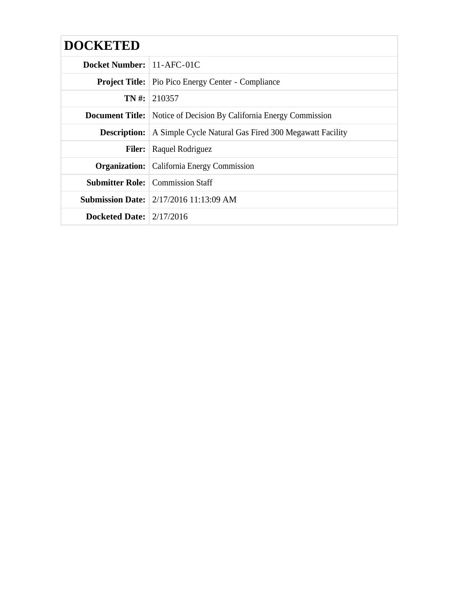| <b>DOCKETED</b>                  |                                                                           |
|----------------------------------|---------------------------------------------------------------------------|
| <b>Docket Number:</b> 11-AFC-01C |                                                                           |
|                                  | <b>Project Title:</b> Pio Pico Energy Center - Compliance                 |
|                                  | $TN \#: 210357$                                                           |
|                                  | <b>Document Title:</b> Notice of Decision By California Energy Commission |
| <b>Description:</b>              | A Simple Cycle Natural Gas Fired 300 Megawatt Facility                    |
| <b>Filer:</b>                    | Raquel Rodriguez                                                          |
|                                  | <b>Organization:</b> California Energy Commission                         |
|                                  | <b>Submitter Role:</b> Commission Staff                                   |
|                                  | <b>Submission Date:</b> 2/17/2016 11:13:09 AM                             |
| Docketed Date: $2/17/2016$       |                                                                           |